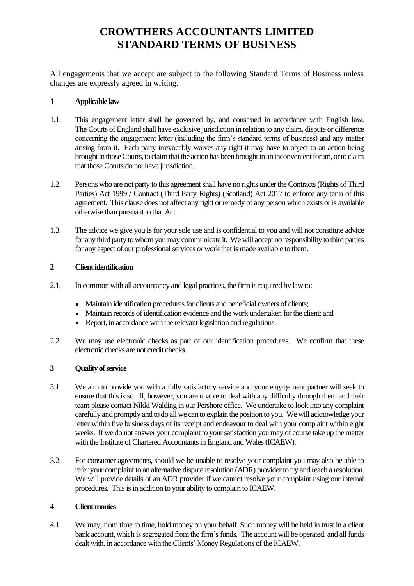# **CROWTHERS ACCOUNTANTS LIMITED STANDARD TERMS OF BUSINESS**

All engagements that we accept are subject to the following Standard Terms of Business unless changes are expressly agreed in writing.

# **1 Applicable law**

- 1.1. This engagement letter shall be governed by, and construed in accordance with English law. The Courts of England shall have exclusive jurisdiction in relation to any claim, dispute or difference concerning the engagement letter (including the firm's standard terms of business) and any matter arising from it. Each party irrevocably waives any right it may have to object to an action being brought in those Courts, to claim that the action has been brought in an inconvenient forum, or to claim that those Courts do not have jurisdiction.
- 1.2. Persons who are not party to this agreement shall have no rights under the Contracts (Rights of Third Parties) Act 1999 / Contract (Third Party Rights) (Scotland) Act 2017 to enforce any term of this agreement. This clause does not affect any right or remedy of any person which exists or is available otherwise than pursuant to that Act.
- 1.3. The advice we give you is for your sole use and is confidential to you and will not constitute advice for any third party to whom you may communicate it. We will accept no responsibility to third parties for any aspect of our professional services or work that is made available to them.

# **2 Client identification**

- 2.1. In common with all accountancy and legal practices, the firm is required by law to:
	- Maintain identification procedures for clients and beneficial owners of clients;
	- Maintain records of identification evidence and the work undertaken for the client: and
	- Report, in accordance with the relevant legislation and regulations.
- 2.2. We may use electronic checks as part of our identification procedures. We confirm that these electronic checks are not credit checks.

### **3 Quality of service**

- 3.1. We aim to provide you with a fully satisfactory service and your engagement partner will seek to ensure that this is so. If, however, you are unable to deal with any difficulty through them and their team please contact Nikki Walding in our Pershore office. We undertake to look into any complaint carefully and promptly and to do all we can to explain the position to you. We will acknowledge your letter within five business days of its receipt and endeavour to deal with your complaint within eight weeks. If we do not answer your complaint to your satisfaction you may of course take up the matter with the Institute of Chartered Accountants in England and Wales (ICAEW).
- 3.2. For consumer agreements, should we be unable to resolve your complaint you may also be able to refer your complaint to an alternative dispute resolution (ADR) provider to try and reach a resolution. We will provide details of an ADR provider if we cannot resolve your complaint using our internal procedures. This is in addition to your ability to complain to ICAEW.

### **4 Client monies**

4.1. We may, from time to time, hold money on your behalf. Such money will be held in trust in a client bank account, which is segregated from the firm's funds. The account will be operated, and all funds dealt with, in accordance with the Clients' Money Regulations of the ICAEW.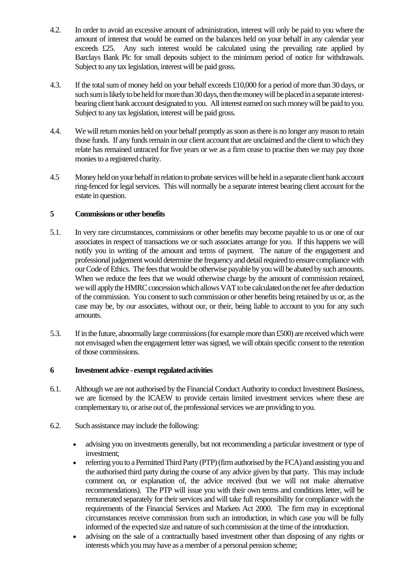- 4.2. In order to avoid an excessive amount of administration, interest will only be paid to you where the amount of interest that would be earned on the balances held on your behalf in any calendar year exceeds £25. Any such interest would be calculated using the prevailing rate applied by Barclays Bank Plc for small deposits subject to the minimum period of notice for withdrawals. Subject to any tax legislation, interest will be paid gross.
- 4.3. If the total sum of money held on your behalf exceeds £10,000 for a period of more than 30 days, or such sum is likely to be held for more than 30 days, then the money will be placed in a separate interestbearing client bank account designated to you. All interest earned on such money will be paid to you. Subject to any tax legislation, interest will be paid gross.
- 4.4. We will return monies held on your behalf promptly as soon as there is no longer any reason to retain those funds. If any funds remain in our client account that are unclaimed and the client to which they relate has remained untraced for five years or we as a firm cease to practise then we may pay those monies to a registered charity.
- 4.5 Money held on your behalf in relation to probate services will be held in a separate client bank account ring-fenced for legal services. This will normally be a separate interest bearing client account for the estate in question.

# **5 Commissions or other benefits**

- 5.1. In very rare circumstances, commissions or other benefits may become payable to us or one of our associates in respect of transactions we or such associates arrange for you. If this happens we will notify you in writing of the amount and terms of payment. The nature of the engagement and professional judgement would determine the frequency and detail required to ensure compliance with our Code of Ethics. The fees that would be otherwise payable by you will be abated by such amounts. When we reduce the fees that we would otherwise charge by the amount of commission retained, we will apply the HMRC concession which allows VAT to be calculated on the net fee after deduction of the commission. You consent to such commission or other benefits being retained by us or, as the case may be, by our associates, without our, or their, being liable to account to you for any such amounts.
- 5.3. If in the future, abnormally large commissions (for example more than £500) are received which were not envisaged when the engagement letter was signed, we will obtain specific consent to the retention of those commissions.

# **6 Investment advice - exempt regulated activities**

- 6.1. Although we are not authorised by the Financial Conduct Authority to conduct Investment Business, we are licensed by the ICAEW to provide certain limited investment services where these are complementary to, or arise out of, the professional services we are providing to you.
- 6.2. Such assistance may include the following:
	- advising you on investments generally, but not recommending a particular investment or type of investment;
	- referring you to a Permitted Third Party (PTP) (firm authorised by the FCA) and assisting you and the authorised third party during the course of any advice given by that party. This may include comment on, or explanation of, the advice received (but we will not make alternative recommendations). The PTP will issue you with their own terms and conditions letter, will be remunerated separately for their services and will take full responsibility for compliance with the requirements of the Financial Services and Markets Act 2000. The firm may in exceptional circumstances receive commission from such an introduction, in which case you will be fully informed of the expected size and nature of such commission at the time of the introduction.
	- advising on the sale of a contractually based investment other than disposing of any rights or interests which you may have as a member of a personal pension scheme;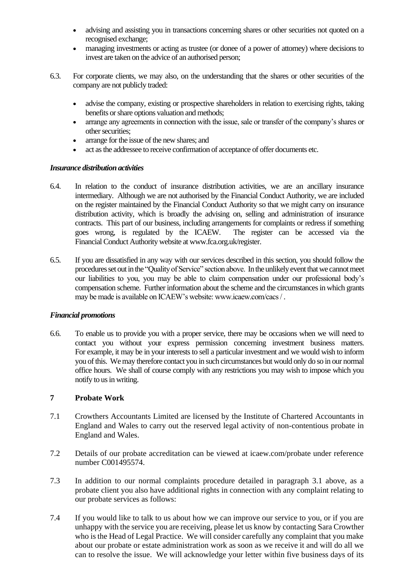- advising and assisting you in transactions concerning shares or other securities not quoted on a recognised exchange;
- managing investments or acting as trustee (or donee of a power of attorney) where decisions to invest are taken on the advice of an authorised person;
- 6.3. For corporate clients, we may also, on the understanding that the shares or other securities of the company are not publicly traded:
	- advise the company, existing or prospective shareholders in relation to exercising rights, taking benefits or share options valuation and methods;
	- arrange any agreements in connection with the issue, sale or transfer of the company's shares or other securities;
	- arrange for the issue of the new shares; and
	- act as the addressee to receive confirmation of acceptance of offer documents etc.

### *Insurance distribution activities*

- 6.4. In relation to the conduct of insurance distribution activities, we are an ancillary insurance intermediary. Although we are not authorised by the Financial Conduct Authority, we are included on the register maintained by the Financial Conduct Authority so that we might carry on insurance distribution activity, which is broadly the advising on, selling and administration of insurance contracts. This part of our business, including arrangements for complaints or redress if something goes wrong, is regulated by the ICAEW. The register can be accessed via the Financial Conduct Authority website at www.fca.org.uk/register.
- 6.5. If you are dissatisfied in any way with our services described in this section, you should follow the procedures set out in the "Quality of Service" section above. In the unlikely event that we cannot meet our liabilities to you, you may be able to claim compensation under our professional body's compensation scheme. Further information about the scheme and the circumstances in which grants may be made is available on ICAEW's website: www.icaew.com/cacs / .

### *Financial promotions*

6.6. To enable us to provide you with a proper service, there may be occasions when we will need to contact you without your express permission concerning investment business matters. For example, it may be in your interests to sell a particular investment and we would wish to inform you of this. We may therefore contact you in such circumstances but would only do so in our normal office hours. We shall of course comply with any restrictions you may wish to impose which you notify to us in writing.

### **7 Probate Work**

- 7.1 Crowthers Accountants Limited are licensed by the Institute of Chartered Accountants in England and Wales to carry out the reserved legal activity of non-contentious probate in England and Wales.
- 7.2 Details of our probate accreditation can be viewed at icaew.com/probate under reference number C001495574.
- 7.3 In addition to our normal complaints procedure detailed in paragraph 3.1 above, as a probate client you also have additional rights in connection with any complaint relating to our probate services as follows:
- 7.4 If you would like to talk to us about how we can improve our service to you, or if you are unhappy with the service you are receiving, please let us know by contacting Sara Crowther who is the Head of Legal Practice. We will consider carefully any complaint that you make about our probate or estate administration work as soon as we receive it and will do all we can to resolve the issue. We will acknowledge your letter within five business days of its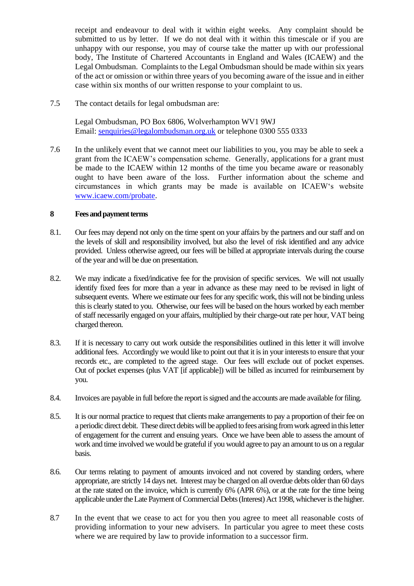receipt and endeavour to deal with it within eight weeks. Any complaint should be submitted to us by letter. If we do not deal with it within this timescale or if you are unhappy with our response, you may of course take the matter up with our professional body, The Institute of Chartered Accountants in England and Wales (ICAEW) and the Legal Ombudsman. Complaints to the Legal Ombudsman should be made within six years of the act or omission or within three years of you becoming aware of the issue and in either case within six months of our written response to your complaint to us.

7.5 The contact details for legal ombudsman are:

Legal Ombudsman, PO Box 6806, Wolverhampton WV1 9WJ Email: [senquiries@legalombudsman.org.uk](mailto:senquiries@legalombudsman.org.uk) or telephone 0300 555 0333

7.6 In the unlikely event that we cannot meet our liabilities to you, you may be able to seek a grant from the ICAEW's compensation scheme. Generally, applications for a grant must be made to the ICAEW within 12 months of the time you became aware or reasonably ought to have been aware of the loss. Further information about the scheme and circumstances in which grants may be made is available on ICAEW's website [www.icaew.com/probate.](http://www.icaew.com/probate)

## **8 Fees and payment terms**

- 8.1. Our fees may depend not only on the time spent on your affairs by the partners and our staff and on the levels of skill and responsibility involved, but also the level of risk identified and any advice provided. Unless otherwise agreed, our fees will be billed at appropriate intervals during the course of the year and will be due on presentation.
- 8.2. We may indicate a fixed/indicative fee for the provision of specific services. We will not usually identify fixed fees for more than a year in advance as these may need to be revised in light of subsequent events. Where we estimate our fees for any specific work, this will not be binding unless this is clearly stated to you. Otherwise, our fees will be based on the hours worked by each member of staff necessarily engaged on your affairs, multiplied by their charge-out rate per hour, VAT being charged thereon.
- 8.3. If it is necessary to carry out work outside the responsibilities outlined in this letter it will involve additional fees. Accordingly we would like to point out that it is in your interests to ensure that your records etc., are completed to the agreed stage. Our fees will exclude out of pocket expenses. Out of pocket expenses (plus VAT [if applicable]) will be billed as incurred for reimbursement by you.
- 8.4. Invoices are payable in full before the report is signed and the accounts are made available for filing.
- 8.5. It is our normal practice to request that clients make arrangements to pay a proportion of their fee on a periodic direct debit. These direct debitswill be applied to fees arising from work agreed in this letter of engagement for the current and ensuing years. Once we have been able to assess the amount of work and time involved we would be grateful if you would agree to pay an amount to us on a regular basis.
- 8.6. Our terms relating to payment of amounts invoiced and not covered by standing orders, where appropriate, are strictly 14 days net. Interest may be charged on all overdue debts older than 60 days at the rate stated on the invoice, which is currently 6% (APR 6%), or at the rate for the time being applicable under the Late Payment of Commercial Debts (Interest) Act 1998, whichever is the higher.
- 8.7 In the event that we cease to act for you then you agree to meet all reasonable costs of providing information to your new advisers. In particular you agree to meet these costs where we are required by law to provide information to a successor firm.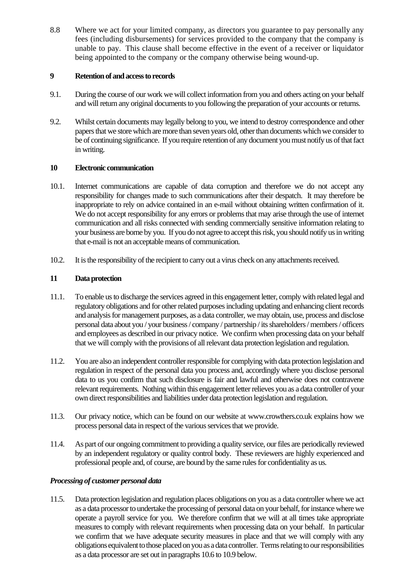8.8 Where we act for your limited company, as directors you guarantee to pay personally any fees (including disbursements) for services provided to the company that the company is unable to pay. This clause shall become effective in the event of a receiver or liquidator being appointed to the company or the company otherwise being wound-up.

# **9 Retention of and access to records**

- 9.1. During the course of our work we will collect information from you and others acting on your behalf and will return any original documents to you following the preparation of your accounts or returns.
- 9.2. Whilst certain documents may legally belong to you, we intend to destroy correspondence and other papers that we store which are more than seven years old, other than documents which we consider to be of continuing significance. If you require retention of any document you must notify us of that fact in writing.

# **10 Electronic communication**

- 10.1. Internet communications are capable of data corruption and therefore we do not accept any responsibility for changes made to such communications after their despatch. It may therefore be inappropriate to rely on advice contained in an e-mail without obtaining written confirmation of it. We do not accept responsibility for any errors or problems that may arise through the use of internet communication and all risks connected with sending commercially sensitive information relating to your business are borne by you. If you do not agree to accept this risk, you should notify us in writing that e-mail is not an acceptable means of communication.
- 10.2. It is the responsibility of the recipient to carry out a virus check on any attachments received.

# **11 Data protection**

- 11.1. To enable us to discharge the services agreed in this engagement letter, comply with related legal and regulatory obligations and for other related purposes including updating and enhancing client records and analysis for management purposes, as a data controller, we may obtain, use, process and disclose personal data about you / your business / company / partnership / its shareholders / members / officers and employees as described in our privacy notice. We confirm when processing data on your behalf that we will comply with the provisions of all relevant data protection legislation and regulation.
- 11.2. You are also an independent controller responsible for complying with data protection legislation and regulation in respect of the personal data you process and, accordingly where you disclose personal data to us you confirm that such disclosure is fair and lawful and otherwise does not contravene relevant requirements. Nothing within this engagement letter relieves you as a data controller of your own direct responsibilities and liabilities under data protection legislation and regulation.
- 11.3. Our privacy notice, which can be found on our website at www.crowthers.co.uk explains how we process personal data in respect of the various services that we provide.
- 11.4. As part of our ongoing commitment to providing a quality service, our files are periodically reviewed by an independent regulatory or quality control body. These reviewers are highly experienced and professional people and, of course, are bound by the same rules for confidentiality as us.

# *Processing of customer personal data*

11.5. Data protection legislation and regulation places obligations on you as a data controller where we act as a data processor to undertake the processing of personal data on your behalf, for instance where we operate a payroll service for you. We therefore confirm that we will at all times take appropriate measures to comply with relevant requirements when processing data on your behalf. In particular we confirm that we have adequate security measures in place and that we will comply with any obligations equivalent to those placed on you as a data controller. Terms relating to our responsibilities as a data processor are set out in paragraphs 10.6 to 10.9 below.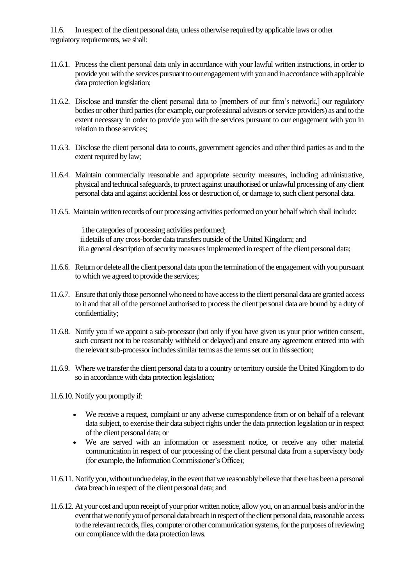11.6. In respect of the client personal data, unless otherwise required by applicable laws or other regulatory requirements, we shall:

- 11.6.1. Process the client personal data only in accordance with your lawful written instructions, in order to provide you with the services pursuant to our engagement with you and in accordance with applicable data protection legislation;
- 11.6.2. Disclose and transfer the client personal data to [members of our firm's network,] our regulatory bodies or other third parties (for example, our professional advisors or service providers) as and to the extent necessary in order to provide you with the services pursuant to our engagement with you in relation to those services;
- 11.6.3. Disclose the client personal data to courts, government agencies and other third parties as and to the extent required by law;
- 11.6.4. Maintain commercially reasonable and appropriate security measures, including administrative, physical and technical safeguards, to protect against unauthorised or unlawful processing of any client personal data and against accidental loss or destruction of, or damage to, such client personal data.
- 11.6.5. Maintain written records of our processing activities performed on your behalf which shall include:

i.the categories of processing activities performed; ii.details of any cross-border data transfers outside of the United Kingdom; and iii.a general description of security measures implemented in respect of the client personal data;

- 11.6.6. Return or delete all the client personal data upon the termination of the engagement with you pursuant to which we agreed to provide the services;
- 11.6.7. Ensure that only those personnel who need to have access to the client personal data are granted access to it and that all of the personnel authorised to process the client personal data are bound by a duty of confidentiality;
- 11.6.8. Notify you if we appoint a sub-processor (but only if you have given us your prior written consent, such consent not to be reasonably withheld or delayed) and ensure any agreement entered into with the relevant sub-processor includes similar terms as the terms set out in this section;
- 11.6.9. Where we transfer the client personal data to a country or territory outside the United Kingdom to do so in accordance with data protection legislation;

11.6.10. Notify you promptly if:

- We receive a request, complaint or any adverse correspondence from or on behalf of a relevant data subject, to exercise their data subject rights under the data protection legislation or in respect of the client personal data; or
- We are served with an information or assessment notice, or receive any other material communication in respect of our processing of the client personal data from a supervisory body (for example, the Information Commissioner's Office);
- 11.6.11. Notify you, without undue delay, in the event that we reasonably believe that there has been a personal data breach in respect of the client personal data; and
- 11.6.12. At your cost and upon receipt of your prior written notice, allow you, on an annual basis and/or in the event that we notify you of personal data breach in respect of the client personal data, reasonable access to the relevant records, files, computer or other communication systems, for the purposes of reviewing our compliance with the data protection laws.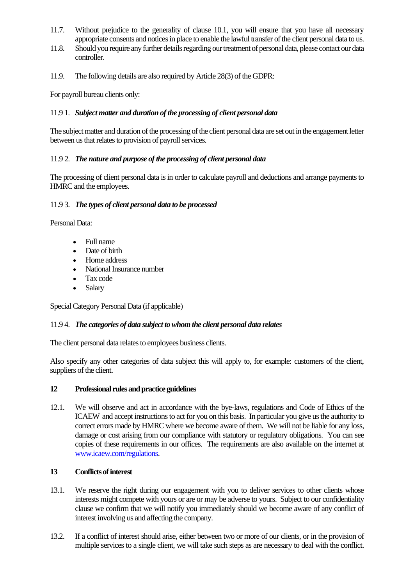- 11.7. Without prejudice to the generality of clause 10.1, you will ensure that you have all necessary appropriate consents and notices in place to enable the lawful transfer of the client personal data to us.
- 11.8. Should you require any further details regarding our treatment of personal data, please contact our data controller.
- 11.9. The following details are also required by Article 28(3) of the GDPR:

For payroll bureau clients only:

### 11.9 1. *Subject matter and duration of the processing of client personal data*

The subject matter and duration of the processing of the client personal data are set out in the engagement letter between us that relates to provision of payroll services.

### 11.9 2. *The nature and purpose of the processing of client personal data*

The processing of client personal data is in order to calculate payroll and deductions and arrange payments to HMRC and the employees.

### 11.9 3. *The types of client personal data to be processed*

Personal Data:

- Full name
- Date of birth
- Home address
- National Insurance number
- Tax code
- Salary

Special Category Personal Data (if applicable)

### 11.9 4. *The categories of data subject to whom the client personal data relates*

The client personal data relates to employees business clients.

Also specify any other categories of data subject this will apply to, for example: customers of the client, suppliers of the client.

### **12 Professional rules and practice guidelines**

12.1. We will observe and act in accordance with the bye-laws, regulations and Code of Ethics of the ICAEW and accept instructions to act for you on this basis. In particular you give us the authority to correct errors made by HMRC where we become aware of them. We will not be liable for any loss, damage or cost arising from our compliance with statutory or regulatory obligations. You can see copies of these requirements in our offices. The requirements are also available on the internet at [www.icaew.com/regulations.](http://www.icaew.com/regulations)

### **13 Conflicts of interest**

- 13.1. We reserve the right during our engagement with you to deliver services to other clients whose interests might compete with yours or are or may be adverse to yours. Subject to our confidentiality clause we confirm that we will notify you immediately should we become aware of any conflict of interest involving us and affecting the company.
- 13.2. If a conflict of interest should arise, either between two or more of our clients, or in the provision of multiple services to a single client, we will take such steps as are necessary to deal with the conflict.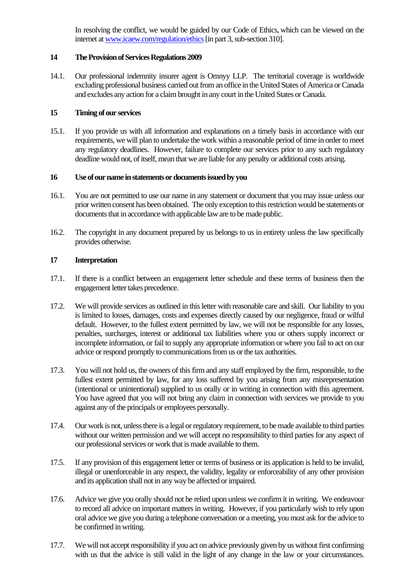In resolving the conflict, we would be guided by our Code of Ethics, which can be viewed on the internet a[t www.icaew.com/regulation/ethics](http://www.icaew.com/regulation/ethics) [in part 3, sub-section 310].

### **14 The Provision of Services Regulations 2009**

14.1. Our professional indemnity insurer agent is Omnyy LLP. The territorial coverage is worldwide excluding professional business carried out from an office in the United States of America or Canada and excludes any action for a claim brought in any court in the United States or Canada.

### **15 Timing of our services**

15.1. If you provide us with all information and explanations on a timely basis in accordance with our requirements, we will plan to undertake the work within a reasonable period of time in order to meet any regulatory deadlines. However, failure to complete our services prior to any such regulatory deadline would not, of itself, mean that we are liable for any penalty or additional costs arising.

### **16 Use of our name in statements or documents issued by you**

- 16.1. You are not permitted to use our name in any statement or document that you may issue unless our prior written consent has been obtained. The only exception to this restriction would be statements or documents that in accordance with applicable law are to be made public.
- 16.2. The copyright in any document prepared by us belongs to us in entirety unless the law specifically provides otherwise.

### **17 Interpretation**

- 17.1. If there is a conflict between an engagement letter schedule and these terms of business then the engagement letter takes precedence.
- 17.2. We will provide services as outlined in this letter with reasonable care and skill. Our liability to you is limited to losses, damages, costs and expenses directly caused by our negligence, fraud or wilful default. However, to the fullest extent permitted by law, we will not be responsible for any losses, penalties, surcharges, interest or additional tax liabilities where you or others supply incorrect or incomplete information, or fail to supply any appropriate information or where you fail to act on our advice or respond promptly to communications from us or the tax authorities.
- 17.3. You will not hold us, the owners of this firm and any staff employed by the firm, responsible, to the fullest extent permitted by law, for any loss suffered by you arising from any misrepresentation (intentional or unintentional) supplied to us orally or in writing in connection with this agreement. You have agreed that you will not bring any claim in connection with services we provide to you against any of the principals or employees personally.
- 17.4. Our work is not, unless there is a legal or regulatory requirement, to be made available to third parties without our written permission and we will accept no responsibility to third parties for any aspect of our professional services or work that is made available to them.
- 17.5. If any provision of this engagement letter or terms of business or its application is held to be invalid, illegal or unenforceable in any respect, the validity, legality or enforceability of any other provision and its application shall not in any way be affected or impaired.
- 17.6. Advice we give you orally should not be relied upon unless we confirm it in writing. We endeavour to record all advice on important matters in writing. However, if you particularly wish to rely upon oral advice we give you during a telephone conversation or a meeting, you must ask for the advice to be confirmed in writing.
- 17.7. We will not accept responsibility if you act on advice previously given by us without first confirming with us that the advice is still valid in the light of any change in the law or your circumstances.